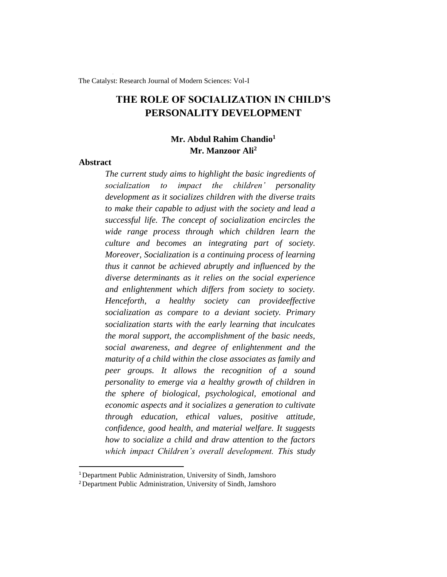The Catalyst: Research Journal of Modern Sciences: Vol-I

# **THE ROLE OF SOCIALIZATION IN CHILD'S PERSONALITY DEVELOPMENT**

# **Mr. Abdul Rahim Chandio<sup>1</sup> Mr. Manzoor Ali<sup>2</sup>**

#### **Abstract**

*The current study aims to highlight the basic ingredients of socialization to impact the children' personality development as it socializes children with the diverse traits to make their capable to adjust with the society and lead a successful life. The concept of socialization encircles the wide range process through which children learn the culture and becomes an integrating part of society. Moreover, Socialization is a continuing process of learning thus it cannot be achieved abruptly and influenced by the diverse determinants as it relies on the social experience and enlightenment which differs from society to society. Henceforth, a healthy society can provideeffective socialization as compare to a deviant society. Primary socialization starts with the early learning that inculcates the moral support, the accomplishment of the basic needs, social awareness, and degree of enlightenment and the maturity of a child within the close associates as family and peer groups. It allows the recognition of a sound personality to emerge via a healthy growth of children in the sphere of biological, psychological, emotional and economic aspects and it socializes a generation to cultivate through education, ethical values, positive attitude, confidence, good health, and material welfare. It suggests how to socialize a child and draw attention to the factors which impact Children's overall development. This study* 

<sup>&</sup>lt;sup>1</sup> Department Public Administration, University of Sindh, Jamshoro

<sup>&</sup>lt;sup>2</sup> Department Public Administration, University of Sindh, Jamshoro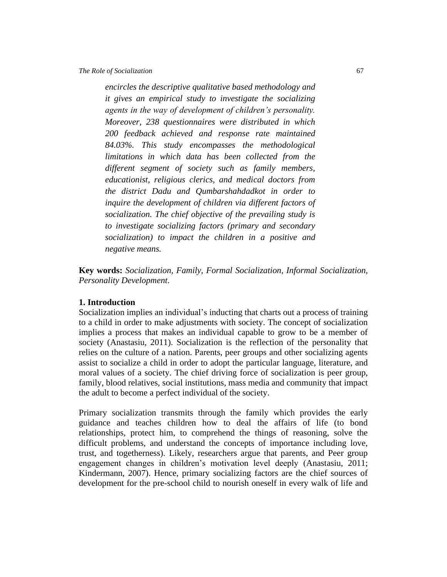*encircles the descriptive qualitative based methodology and it gives an empirical study to investigate the socializing agents in the way of development of children's personality. Moreover, 238 questionnaires were distributed in which 200 feedback achieved and response rate maintained 84.03%. This study encompasses the methodological limitations in which data has been collected from the different segment of society such as family members, educationist, religious clerics, and medical doctors from the district Dadu and Qumbarshahdadkot in order to inquire the development of children via different factors of socialization. The chief objective of the prevailing study is to investigate socializing factors (primary and secondary socialization) to impact the children in a positive and negative means.*

**Key words:** *Socialization, Family, Formal Socialization, Informal Socialization, Personality Development.*

#### **1. Introduction**

Socialization implies an individual's inducting that charts out a process of training to a child in order to make adjustments with society. The concept of socialization implies a process that makes an individual capable to grow to be a member of society (Anastasiu, 2011). Socialization is the reflection of the personality that relies on the culture of a nation. Parents, peer groups and other socializing agents assist to socialize a child in order to adopt the particular language, literature, and moral values of a society. The chief driving force of socialization is peer group, family, blood relatives, social institutions, mass media and community that impact the adult to become a perfect individual of the society.

Primary [socialization](https://en.wikipedia.org/wiki/Socialization) transmits through the family which provides the early guidance and teaches children how to deal the affairs of life (to bond relationships, protect him, to comprehend the things of reasoning, solve the difficult problems, and understand the concepts of importance including love, trust, and togetherness). Likely, researchers argue that parents, and Peer group engagement changes in children's motivation level deeply (Anastasiu, 2011; Kindermann, 2007). Hence, primary socializing factors are the chief sources of development for the pre-school child to nourish oneself in every walk of life and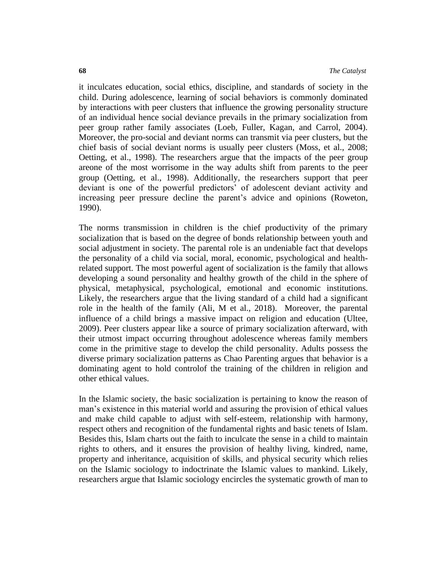it inculcates education, social ethics, discipline, and standards of society in the child. During adolescence, learning of social behaviors is commonly dominated by interactions with peer clusters that influence the growing personality structure of an individual hence social deviance prevails in the primary socialization from peer group rather family associates (Loeb, Fuller, Kagan, and Carrol, 2004). Moreover, the pro-social and deviant norms can transmit via peer clusters, but the chief basis of social deviant norms is usually peer clusters (Moss, et al., 2008; Oetting, et al., 1998). The researchers argue that the impacts of the peer group areone of the most worrisome in the way adults shift from parents to the peer group (Oetting, et al., 1998). Additionally, the researchers support that peer deviant is one of the powerful predictors' of adolescent deviant activity and increasing peer pressure decline the parent's advice and opinions (Roweton, 1990).

The norms transmission in children is the chief productivity of the primary socialization that is based on the degree of bonds relationship between youth and social adjustment in society. The parental role is an undeniable fact that develops the personality of a child via social, moral, economic, psychological and healthrelated support. The most powerful agent of socialization is the family that allows developing a sound personality and healthy growth of the child in the sphere of physical, metaphysical, psychological, emotional and economic institutions. Likely, the researchers argue that the living standard of a child had a significant role in the health of the family (Ali, M et al., 2018). Moreover, the parental influence of a child brings a massive impact on religion and education (Ultee, 2009). Peer clusters appear like a source of primary socialization afterward, with their utmost impact occurring throughout adolescence whereas family members come in the primitive stage to develop the child personality. Adults possess the diverse primary socialization patterns as Chao Parenting argues that behavior is a dominating agent to hold controlof the training of the children in religion and other ethical values.

In the Islamic society, the basic socialization is pertaining to know the reason of man's existence in this material world and assuring the provision of ethical values and make child capable to adjust with self-esteem, relationship with harmony, respect others and recognition of the fundamental rights and basic tenets of Islam. Besides this, Islam charts out the faith to inculcate the sense in a child to maintain rights to others, and it ensures the provision of healthy living, kindred, name, property and inheritance, acquisition of skills, and physical security which relies on the Islamic sociology to indoctrinate the Islamic values to mankind. Likely, researchers argue that Islamic sociology encircles the systematic growth of man to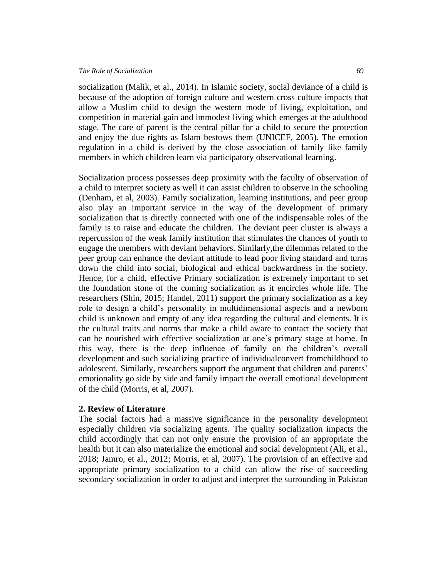#### *The Role of Socialization* 69

socialization (Malik, et al., 2014). In Islamic society, social deviance of a child is because of the adoption of foreign culture and western cross culture impacts that allow a Muslim child to design the western mode of living, exploitation, and competition in material gain and immodest living which emerges at the adulthood stage. The care of parent is the central pillar for a child to secure the protection and enjoy the due rights as Islam bestows them (UNICEF, 2005). The emotion regulation in a child is derived by the close association of family like family members in which children learn via participatory observational learning.

Socialization process possesses deep proximity with the faculty of observation of a child to interpret society as well it can assist children to observe in the schooling (Denham, et al, 2003). Family socialization, learning institutions, and peer group also play an important service in the way of the development of primary socialization that is directly connected with one of the indispensable roles of the family is to raise and educate the children. The deviant peer cluster is always a repercussion of the weak family institution that stimulates the chances of youth to engage the members with deviant behaviors. Similarly,the dilemmas related to the peer group can enhance the deviant attitude to lead poor living standard and turns down the child into social, biological and ethical backwardness in the society. Hence, for a child, effective Primary socialization is extremely important to set the foundation stone of the coming socialization as it encircles whole life. The researchers (Shin, 2015; Handel, 2011) support the primary socialization as a key role to design a child's personality in multidimensional aspects and a newborn child is unknown and empty of any idea regarding the cultural and elements. It is the cultural traits and norms that make a child aware to contact the society that can be nourished with effective socialization at one's primary stage at home. In this way, there is the deep influence of family on the children's overall development and such socializing practice of individualconvert fromchildhood to adolescent. Similarly, researchers support the argument that children and parents' emotionality go side by side and family impact the overall emotional development of the child (Morris, et al, 2007).

#### **2. Review of Literature**

The social factors had a massive significance in the personality development especially children via socializing agents. The quality socialization impacts the child accordingly that can not only ensure the provision of an appropriate the health but it can also materialize the emotional and social development (Ali, et al., 2018; Jamro, et al., 2012; Morris, et al, 2007). The provision of an effective and appropriate primary socialization to a child can allow the rise of succeeding secondary socialization in order to adjust and interpret the surrounding in Pakistan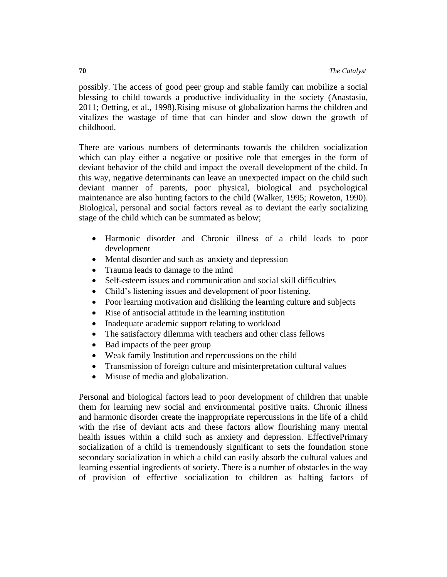possibly. The access of good peer group and stable family can mobilize a social blessing to child towards a productive individuality in the society (Anastasiu, 2011; Oetting, et al., 1998).Rising misuse of globalization harms the children and vitalizes the wastage of time that can hinder and slow down the growth of childhood.

There are various numbers of determinants towards the children socialization which can play either a negative or positive role that emerges in the form of deviant behavior of the child and impact the overall development of the child. In this way, negative determinants can leave an unexpected impact on the child such deviant manner of parents, poor physical, biological and psychological maintenance are also hunting factors to the child (Walker, 1995; Roweton, 1990). Biological, personal and social factors reveal as to deviant the early socializing stage of the child which can be summated as below;

- Harmonic disorder and Chronic illness of a child leads to poor development
- Mental disorder and such as anxiety and [depression](https://raisingchildren.net.au/pre-teens/mental-health-physical-health/stress-anxiety-depression/depression)
- Trauma leads to damage to the mind
- Self-esteem issues and communication and social skill difficulties
- Child's listening issues and development of poor listening.
- Poor learning motivation and disliking the learning culture and subjects
- Rise of antisocial attitude in the learning institution
- Inadequate academic support relating to workload
- The satisfactory dilemma with teachers and other class fellows
- Bad impacts of the peer group
- Weak family Institution and repercussions on the child
- Transmission of foreign culture and misinterpretation cultural values
- Misuse of media and globalization.

Personal and biological factors lead to poor development of children that unable them for learning new social and environmental positive traits. Chronic illness and harmonic disorder create the inappropriate repercussions in the life of a child with the rise of deviant acts and these factors allow flourishing many mental health issues within a child such as anxiety and depression. EffectivePrimary socialization of a child is tremendously significant to sets the foundation stone secondary socialization in which a child can easily absorb the cultural values and learning essential ingredients of society. There is a number of obstacles in the way of provision of effective socialization to children as halting factors of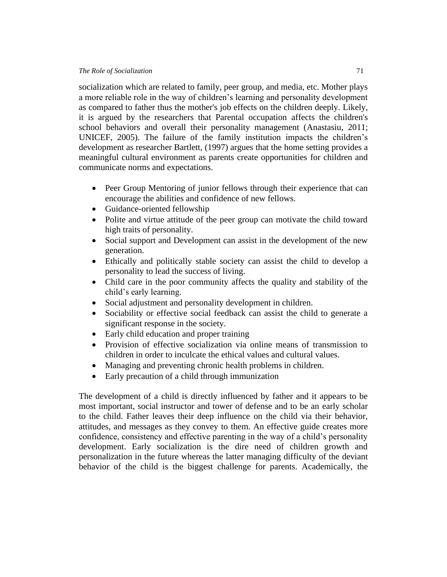socialization which are related to family, peer group, and media, etc. Mother plays a more reliable role in the way of children's learning and personality development as compared to father [thus the mother's job effects on the children deeply. L](https://www.jstor.org/stable/1130079)ikely, it is argued by the researchers that Parental occupation affects the children's school behaviors and overall their personality management (Anastasiu, 2011; UNICEF, 2005). The failure of the family institution impacts the children's development as researcher Bartlett, (1997) argues that the home setting provides a meaningful cultural environment as parents create opportunities for children and communicate norms and expectations.

- Peer Group Mentoring of junior fellows through their experience that can encourage the abilities and confidence of new fellows.
- Guidance-oriented fellowship
- Polite and virtue attitude of the peer group can motivate the child toward high traits of personality.
- Social support and Development can assist in the development of the new generation.
- Ethically and politically stable society can assist the child to develop a personality to lead the success of living.
- Child care in the poor community affects the quality and stability of the child's early learning.
- Social adjustment and personality development in children.
- Sociability or effective social feedback can assist the child to generate a significant response in the society.
- Early child education and proper training
- Provision of effective socialization via online means of transmission to children in order to inculcate the ethical values and cultural values.
- Managing and preventing chronic health problems in children.
- Early precaution of a child through immunization

The development of a child is directly influenced by father and it appears to be most important, social instructor and tower of defense and to be an early scholar to the child. Father leaves their deep influence on the child via their behavior, attitudes, and messages as they convey to them. An effective guide creates more confidence, consistency and effective parenting in the way of a child's personality development. Early socialization is the dire need of children growth and personalization in the future whereas the latter managing difficulty of the deviant behavior of the child is the biggest challenge for parents. Academically, the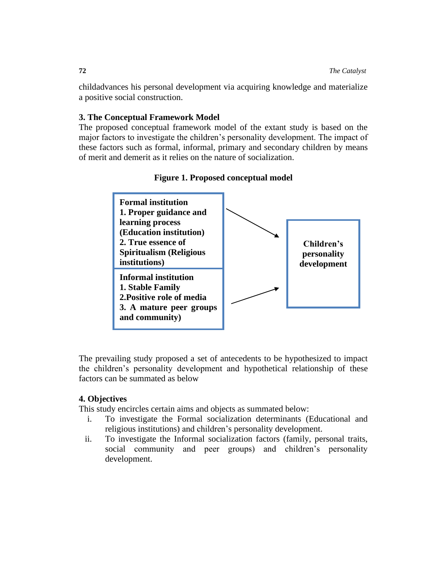childadvances his personal development via acquiring knowledge and materialize a positive social construction.

# **3. The Conceptual Framework Model**

The proposed conceptual framework model of the extant study is based on the major factors to investigate the children's personality development. The impact of these factors such as formal, informal, primary and secondary children by means of merit and demerit as it relies on the nature of socialization.





The prevailing study proposed a set of antecedents to be hypothesized to impact the children's personality development and hypothetical relationship of these factors can be summated as below

# **4. Objectives**

This study encircles certain aims and objects as summated below:

- i. To investigate the Formal socialization determinants (Educational and religious institutions) and children's personality development.
- ii. To investigate the Informal socialization factors (family, personal traits, social community and peer groups) and children's personality development.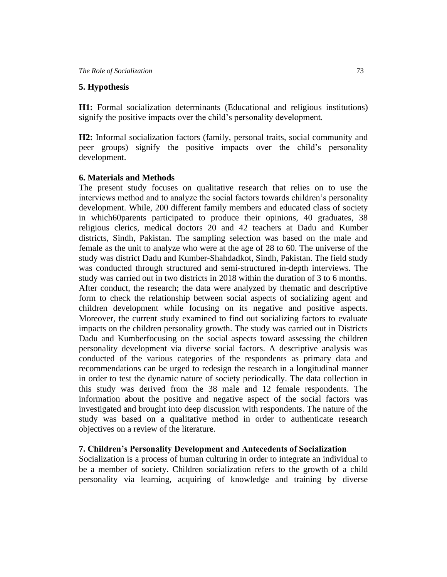#### **5. Hypothesis**

**H1:** Formal socialization determinants (Educational and religious institutions) signify the positive impacts over the child's personality development.

**H2:** Informal socialization factors (family, personal traits, social community and peer groups) signify the positive impacts over the child's personality development.

#### **6. Materials and Methods**

The present study focuses on qualitative research that relies on to use the interviews method and to analyze the social factors towards children's personality development. While, 200 different family members and educated class of society in which60parents participated to produce their opinions, 40 graduates, 38 religious clerics, medical doctors 20 and 42 teachers at Dadu and Kumber districts, Sindh, Pakistan. The sampling selection was based on the male and female as the unit to analyze who were at the age of 28 to 60. The universe of the study was district Dadu and Kumber-Shahdadkot, Sindh, Pakistan. The field study was conducted through structured and semi-structured in-depth interviews. The study was carried out in two districts in 2018 within the duration of 3 to 6 months. After conduct, the research; the data were analyzed by thematic and descriptive form to check the relationship between social aspects of socializing agent and children development while focusing on its negative and positive aspects. Moreover, the current study examined to find out socializing factors to evaluate impacts on the children personality growth. The study was carried out in Districts Dadu and Kumberfocusing on the social aspects toward assessing the children personality development via diverse social factors. A descriptive analysis was conducted of the various categories of the respondents as primary data and recommendations can be urged to redesign the research in a longitudinal manner in order to test the dynamic nature of society periodically. The data collection in this study was derived from the 38 male and 12 female respondents. The information about the positive and negative aspect of the social factors was investigated and brought into deep discussion with respondents. The nature of the study was based on a qualitative method in order to authenticate research objectives on a review of the literature.

# **7. Children's Personality Development and Antecedents of Socialization**

Socialization is a process of human culturing in order to integrate an individual to be a member of society. Children socialization refers to the growth of a child personality via learning, acquiring of knowledge and training by diverse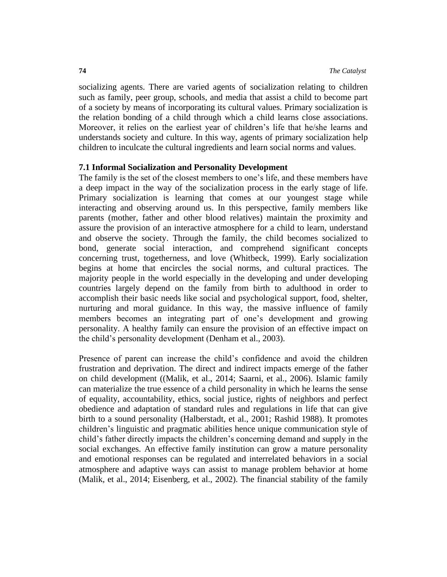socializing agents. There are varied agents of socialization relating to children such as family, peer group, schools, and media that assist a child to become part of a society by means of incorporating its cultural values. Primary socialization is the relation bonding of a child through which a child learns close associations. Moreover, it relies on the earliest year of children's life that he/she learns and understands society and culture. In this way, agents of primary socialization help children to inculcate the cultural ingredients and learn social norms and values.

#### **7.1 Informal Socialization and Personality Development**

The family is the set of the closest members to one's life, and these members have a deep impact in the way of the socialization process in the early stage of life. Primary socialization is learning that comes at our youngest stage while interacting and observing around us. In this perspective, family members like parents (mother, father and other blood relatives) maintain the proximity and assure the provision of an interactive atmosphere for a child to learn, understand and observe the society. Through the family, the child becomes socialized to bond, generate social interaction, and comprehend significant concepts concerning trust, togetherness, and love (Whitbeck, 1999). Early socialization begins at home that encircles the social norms, and cultural practices. The majority people in the world especially in the developing and under developing countries largely depend on the family from birth to adulthood in order to accomplish their basic needs like social and psychological support, food, shelter, nurturing and moral guidance. In this way, the massive influence of family members becomes an integrating part of one's development and growing personality. A healthy family can ensure the provision of an effective impact on the child's personality development [\(Denham et al., 2003\)](https://www.ncbi.nlm.nih.gov/pmc/articles/PMC2743505/#R40).

Presence of parent can increase the child's confidence and avoid the children frustration and deprivation. The direct and indirect impacts emerge of the father on child development ((Malik, et al., 2014; [Saarni, et al., 2006\)](https://www.ncbi.nlm.nih.gov/pmc/articles/PMC2743505/#R137). Islamic family can materialize the true essence of a child personality in which he learns the sense of equality, accountability, ethics, social justice, rights of neighbors and perfect obedience and adaptation of standard rules and regulations in life that can give birth to a sound personality [\(Halberstadt, et al., 2001;](https://www.ncbi.nlm.nih.gov/pmc/articles/PMC2743505/#R94) Rashid 1988). It promotes children's linguistic and pragmatic abilities hence unique communication style of child's father directly impacts the children's concerning demand and supply in the social exchanges. An effective family institution can grow a mature personality and emotional responses can be regulated and interrelated behaviors in a social atmosphere and adaptive ways can assist to manage problem behavior at home (Malik, et al., 2014; [Eisenberg, et al., 2002\)](https://www.ncbi.nlm.nih.gov/pmc/articles/PMC2743505/#R56). The financial stability of the family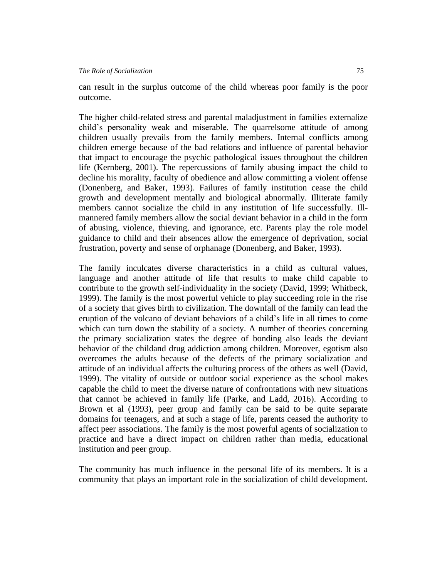can result in the surplus outcome of the child whereas poor family is the poor outcome.

The higher child-related stress and parental maladjustment in families externalize child's personality weak and miserable. The quarrelsome attitude of among children usually prevails from the family members. Internal conflicts among children emerge because of the bad relations and influence of parental behavior that impact to encourage the psychic pathological issues throughout the children life (Kernberg, 2001). The repercussions of family abusing impact the child to decline his morality, faculty of obedience and allow committing a violent offense (Donenberg, and Baker, 1993). Failures of family institution cease the child growth and development mentally and biological abnormally. Illiterate family members cannot socialize the child in any institution of life successfully. Illmannered family members allow the social deviant behavior in a child in the form of abusing, violence, thieving, and ignorance, etc. Parents play the role model guidance to child and their absences allow the emergence of deprivation, social frustration, poverty and sense of orphanage (Donenberg, and Baker, 1993).

The family inculcates diverse characteristics in a child as cultural values, language and another attitude of life that results to make child capable to contribute to the growth self-individuality in the society (David, 1999; Whitbeck, 1999). The family is the most powerful vehicle to play succeeding role in the rise of a society that gives birth to civilization. The downfall of the family can lead the eruption of the volcano of deviant behaviors of a child's life in all times to come which can turn down the stability of a society. A number of theories concerning the primary socialization states the degree of bonding also leads the deviant behavior of the childand drug addiction among children. Moreover, egotism also overcomes the adults because of the defects of the primary socialization and attitude of an individual affects the culturing process of the others as well (David, 1999). The vitality of outside or outdoor social experience as the school makes capable the child to meet the diverse nature of confrontations with new situations that cannot be achieved in family life (Parke, and Ladd, 2016). According to Brown et al (1993), peer group and family can be said to be quite separate domains for teenagers, and at such a stage of life, parents ceased the authority to affect peer associations. The family is the most powerful agents of socialization to practice and have a direct impact on children rather than media, educational institution and peer group.

The community has much influence in the personal life of its members. It is a community that plays an important role in the socialization of child development.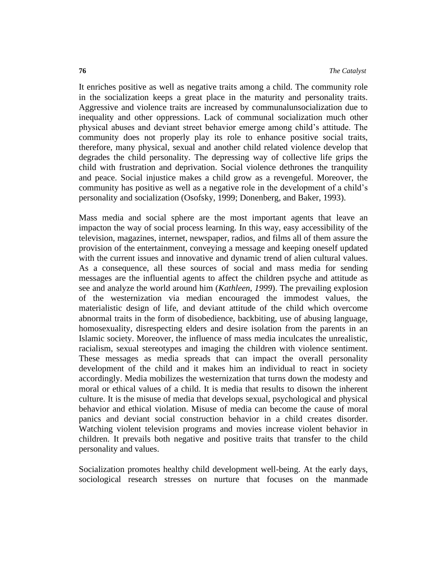It enriches positive as well as negative traits among a child. The community role in the socialization keeps a great place in the maturity and personality traits. Aggressive and violence traits are increased by communalunsocialization due to inequality and other oppressions. Lack of communal socialization much other physical abuses and deviant street behavior emerge among child's attitude. The community does not properly play its role to enhance positive social traits, therefore, many physical, sexual and another child related violence develop that degrades the child personality. The depressing way of collective life grips the child with frustration and deprivation. Social violence dethrones the tranquility and peace. Social injustice makes a child grow as a revengeful. Moreover, the community has positive as well as a negative role in the development of a child's personality and socialization (Osofsky, 1999; Donenberg, and Baker, 1993).

Mass media and social sphere are the most important agents that leave an impacton the way of social process learning. In this way, easy accessibility of the television, magazines, internet, newspaper, radios, and films all of them assure the provision of the entertainment, conveying a message and keeping oneself updated with the current issues and innovative and dynamic trend of alien cultural values. As a consequence, all these sources of social and mass media for sending messages are the influential agents to affect the children psyche and attitude as see and analyze the world around him (*Kathleen, 1999*). The prevailing explosion of the westernization via median encouraged the immodest values, the materialistic design of life, and deviant attitude of the child which overcome abnormal traits in the form of disobedience, backbiting, use of abusing language, homosexuality, disrespecting elders and desire isolation from the parents in an Islamic society. Moreover, the influence of mass media inculcates the unrealistic, racialism, sexual stereotypes and imaging the children with violence sentiment. These messages as media spreads that can impact the overall personality development of the child and it makes him an individual to react in society accordingly. Media mobilizes the westernization that turns down the modesty and moral or ethical values of a child. It is media that results to disown the inherent culture. It is the misuse of media that develops sexual, psychological and physical behavior and ethical violation. Misuse of media can become the cause of moral panics and deviant social construction behavior in a child creates disorder. Watching violent television programs and movies increase violent behavior in children. It prevails both negative and positive traits that transfer to the child personality and values.

Socialization promotes healthy child development well-being. At the early days, sociological research stresses on nurture that focuses on the manmade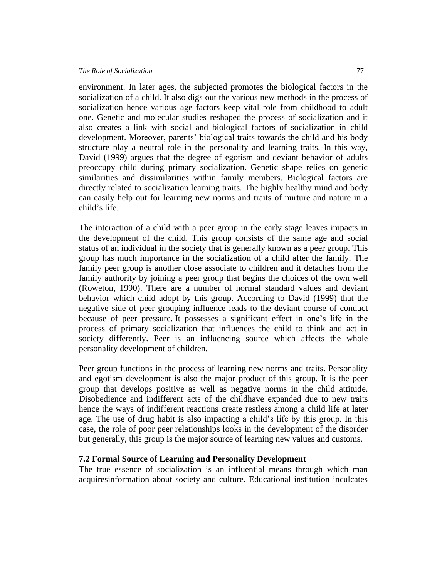environment. In later ages, the subjected promotes the biological factors in the socialization of a child. It also digs out the various new methods in the process of socialization hence various age factors keep vital role from childhood to adult one. Genetic and molecular studies reshaped the process of socialization and it also creates a link with social and biological factors of socialization in child development. Moreover, parents' biological traits towards the child and his body structure play a neutral role in the personality and learning traits. In this way, David (1999) argues that the degree of egotism and deviant behavior of adults preoccupy child during primary socialization. Genetic shape relies on genetic similarities and dissimilarities within family members. Biological factors are directly related to socialization learning traits. The highly healthy mind and body can easily help out for learning new norms and traits of nurture and nature in a child's life.

The interaction of a child with a peer group in the early stage leaves impacts in the development of the child. This group consists of the same age and social status of an individual in the society that is generally known as a peer group. This group has much importance in the socialization of a child after the family. The family peer group is another close associate to children and it detaches from the family authority by joining a peer group that begins the choices of the own well (Roweton, 1990). There are a number of normal standard values and deviant behavior which child adopt by this group. According to David (1999) that the negative side of peer grouping influence leads to the deviant course of conduct because of peer pressure. It possesses a significant effect in one's life in the process of primary socialization that influences the child to think and act in society differently. Peer is an influencing source which affects the whole personality development of children.

Peer group functions in the process of learning new norms and traits. Personality and egotism development is also the major product of this group. It is the peer group that develops positive as well as negative norms in the child attitude. Disobedience and indifferent acts of the childhave expanded due to new traits hence the ways of indifferent reactions create restless among a child life at later age. The use of drug habit is also impacting a child's life by this group. In this case, the role of poor peer relationships looks in the development of the disorder but generally, this group is the major source of learning new values and customs.

#### **7.2 Formal Source of Learning and Personality Development**

The true essence of socialization is an influential means through which man acquiresinformation about society and culture. Educational institution inculcates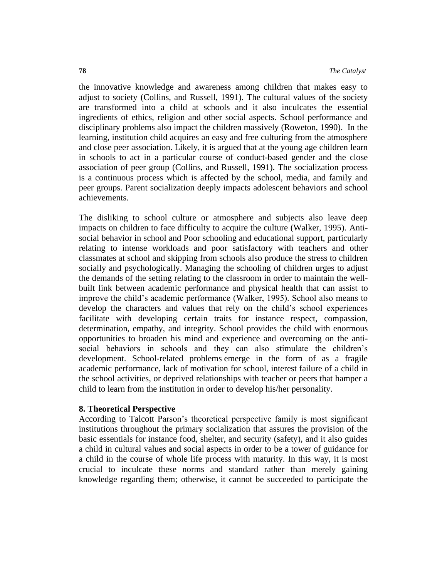the innovative knowledge and awareness among children that makes easy to adjust to society (Collins, and Russell, 1991). The cultural values of the society are transformed into a child at schools and it also inculcates the essential ingredients of ethics, religion and other social aspects. School performance and disciplinary problems also impact the children massively (Roweton, 1990). In the learning, institution child acquires an easy and free culturing from the atmosphere and close peer association. Likely, it is argued that at the young age children learn in schools to act in a particular course of conduct-based gender and the close association of peer group (Collins, and Russell, 1991). The socialization process is a continuous process which is affected by the school, media, and family and peer groups. Parent socialization deeply impacts adolescent behaviors and school achievements.

The disliking to school culture or atmosphere and subjects also leave deep impacts on children to face difficulty to acquire the culture (Walker, 1995). Antisocial behavior in school and Poor schooling and educational support, particularly relating to intense workloads and poor satisfactory with teachers and other classmates at school and skipping from schools also produce the stress to children socially and psychologically. Managing the schooling of children urges to adjust the demands of the setting relating to the classroom in order to maintain the wellbuilt link between academic performance and physical health that can assist to improve the child's academic performance (Walker, 1995). School also means to develop the characters and values that rely on the child's school experiences facilitate with developing certain traits for instance respect, compassion, determination, empathy, and integrity. School provides the child with enormous opportunities to broaden his mind and experience and overcoming on the antisocial behaviors in schools and they can also stimulate the children's development. School-related problems emerge in the form of as a fragile academic performance, lack of motivation for school, interest failure of a child in the school activities, or deprived relationships with teacher or peers that hamper a child to learn from the institution in order to develop his/her personality.

#### **8. Theoretical Perspective**

According to Talcott Parson's theoretical perspective family is most significant institutions throughout the primary socialization that assures the provision of the basic essentials for instance food, shelter, and security (safety), and it also guides a child in cultural values and social aspects in order to be a tower of guidance for a child in the course of whole life process with maturity. In this way, it is most crucial to inculcate these norms and standard rather than merely gaining knowledge regarding them; otherwise, it cannot be succeeded to participate the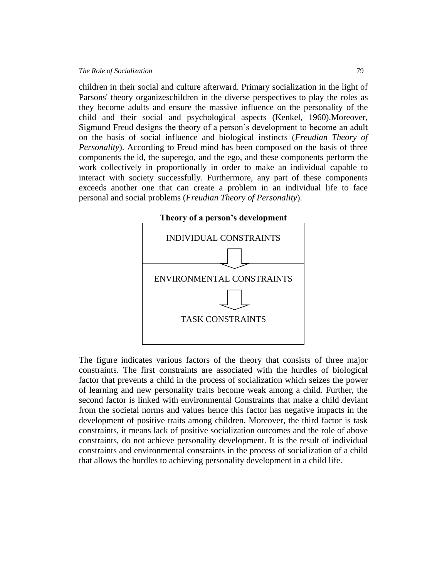children in their social and culture afterward. Primary socialization in the light of Parsons' theory organizeschildren in the diverse perspectives to play the roles as they become adults and ensure the massive influence on the personality of the child and their social and psychological aspects (Kenkel, 1960).Moreover, [Sigmund Freud](https://en.wikipedia.org/wiki/Sigmund_Freud) designs the theory of a person's development to become an adult on the basis of social influence and biological instincts (*Freudian Theory of Personality*). According to Freud mind has been composed on the basis of three components the [id, the superego,](https://en.wikipedia.org/wiki/Id,_ego,_and_superego) and the ego, and these components perform the work collectively in proportionally in order to make an individual capable to interact with society successfully. Furthermore, any part of these components exceeds another one that can create a problem in an individual life to face personal and social problems (*Freudian Theory of Personality*).



The figure indicates various factors of the theory that consists of three major constraints. The first constraints are associated with the hurdles of biological factor that prevents a child in the process of socialization which seizes the power of learning and new personality traits become weak among a child. Further, the second factor is linked with environmental Constraints that make a child deviant from the societal norms and values hence this factor has negative impacts in the development of positive traits among children. Moreover, the third factor is task constraints, it means lack of positive socialization outcomes and the role of above constraints, do not achieve personality development. It is the result of individual constraints and environmental constraints in the process of socialization of a child that allows the hurdles to achieving personality development in a child life.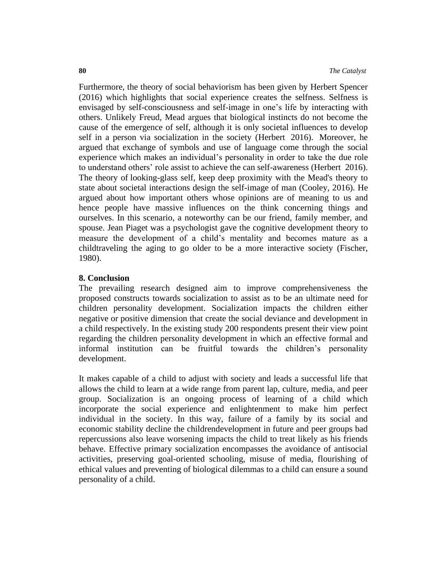Furthermore, the theory of social behaviorism has been given by [Herbert Spencer](http://www.iep.utm.edu/mead/)  (2016) which highlights that social experience creates the selfness. Selfness is envisaged by self-consciousness and [self-image](https://en.wikipedia.org/wiki/Self-image) in one's life by interacting with others. Unlikely Freud, Mead argues that biological instincts do not become the cause of the emergence of self, although it is only societal influences to develop self in a person via socialization in the society [\(Herbert](http://www.iep.utm.edu/mead/) 2016). Moreover, he argued that exchange of symbols and use of language come through the social experience which makes an individual's personality in order to take the due role to understand others' role assist to achieve the can self-awareness [\(Herbert](http://www.iep.utm.edu/mead/) 2016). The theory of [looking-glass self,](https://en.wikipedia.org/wiki/Looking-glass_self) keep deep proximity with the Mead's theory to state about societal interactions design the self-image of man (Cooley*,* 2016). He argued about how important others whose opinions are of meaning to us and hence people have massive influences on the think concerning things and ourselves. In this scenario, a noteworthy can be our friend, family member, and spouse. Jean Piaget was a psychologist gave the [cognitive development](https://en.wikipedia.org/wiki/Theory_of_cognitive_development) theory to measure the development of a child's mentality and becomes mature as a childtraveling the aging to go older to be a more interactive society (Fischer, 1980).

# **8. Conclusion**

The prevailing research designed aim to improve comprehensiveness the proposed constructs towards socialization to assist as to be an ultimate need for children personality development. Socialization impacts the children either negative or positive dimension that create the social deviance and development in a child respectively. In the existing study 200 respondents present their view point regarding the children personality development in which an effective formal and informal institution can be fruitful towards the children's personality development.

It makes capable of a child to adjust with society and leads a successful life that allows the child to learn at a wide range from parent lap, culture, media, and peer group. Socialization is an ongoing process of learning of a child which incorporate the social experience and enlightenment to make him perfect individual in the society. In this way, failure of a family by its social and economic stability decline the childrendevelopment in future and peer groups bad repercussions also leave worsening impacts the child to treat likely as his friends behave. Effective primary socialization encompasses the avoidance of antisocial activities, preserving goal-oriented schooling, misuse of media, flourishing of ethical values and preventing of biological dilemmas to a child can ensure a sound personality of a child.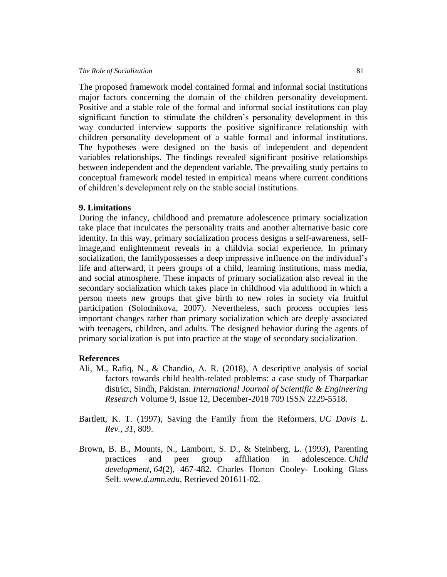#### *The Role of Socialization* 81

The proposed framework model contained formal and informal social institutions major factors concerning the domain of the children personality development. Positive and a stable role of the formal and informal social institutions can play significant function to stimulate the children's personality development in this way conducted interview supports the positive significance relationship with children personality development of a stable formal and informal institutions. The hypotheses were designed on the basis of independent and dependent variables relationships. The findings revealed significant positive relationships between independent and the dependent variable. The prevailing study pertains to conceptual framework model tested in empirical means where current conditions of children's development rely on the stable social institutions.

#### **9. Limitations**

During the infancy, childhood and premature adolescence primary socialization take place that inculcates the personality traits and another alternative basic core identity. In this way, primary socialization process designs a self-awareness, selfimage,and enlightenment reveals in a childvia social experience. In primary socialization, the familypossesses a deep impressive influence on the individual's life and afterward, it peers groups of a child, learning institutions, mass media, and social atmosphere. These impacts of primary socialization also reveal in the secondary socialization which takes place in childhood via adulthood in which a person meets new groups that give birth to new roles in society via fruitful participation (Solodnikova, 2007). Nevertheless, such process occupies less important changes rather than primary socialization which are deeply associated with teenagers, children, and adults. The designed behavior during the agents of primary socialization is put into practice at the stage of secondary socialization.

#### **References**

- Ali, M., Rafiq, N., & Chandio, A. R. (2018), A descriptive analysis of social factors towards child health-related problems: a case study of Tharparkar district, Sindh, Pakistan. *International Journal of Scientific & Engineering Research* Volume 9, Issue 12, December-2018 709 ISSN 2229-5518.
- Bartlett, K. T. (1997), Saving the Family from the Reformers. *UC Davis L. Rev.*, *31*, 809.
- Brown, B. B., Mounts, N., Lamborn, S. D., & Steinberg, L. (1993), Parenting practices and peer group affiliation in adolescence. *Child development*, *64*(2), 467-482. Charles Horton Cooley- Looking Glass Self*. www.d.umn.edu*. Retrieved 201611-02*.*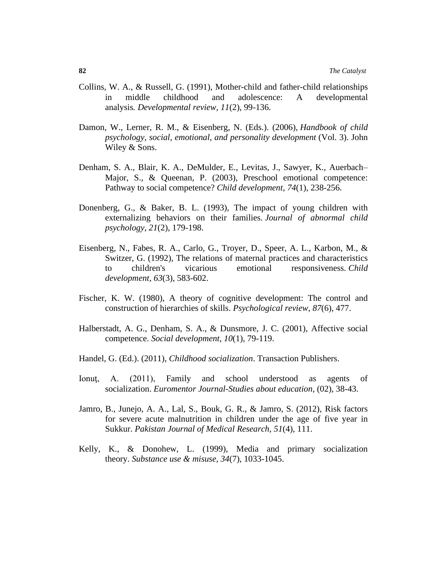- Collins, W. A., & Russell, G. (1991), Mother-child and father-child relationships in middle childhood and adolescence: A developmental analysis*. Developmental review, 11*(2), 99-136.
- Damon, W., Lerner, R. M., & Eisenberg, N. (Eds.). (2006), *Handbook of child psychology, social, emotional, and personality development* (Vol. 3). John Wiley & Sons.
- Denham, S. A., Blair, K. A., DeMulder, E., Levitas, J., Sawyer, K., Auerbach– Major, S., & Queenan, P. (2003), Preschool emotional competence: Pathway to social competence? *Child development*, *74*(1), 238-256.
- Donenberg, G., & Baker, B. L. (1993), The impact of young children with externalizing behaviors on their families. *Journal of abnormal child psychology*, *21*(2), 179-198.
- Eisenberg, N., Fabes, R. A., Carlo, G., Troyer, D., Speer, A. L., Karbon, M., & Switzer, G. (1992), The relations of maternal practices and characteristics to children's vicarious emotional responsiveness. *Child development*, *63*(3), 583-602.
- Fischer, K. W. (1980), A theory of cognitive development: The control and construction of hierarchies of skills. *Psychological review*, *87*(6), 477.
- Halberstadt, A. G., Denham, S. A., & Dunsmore, J. C. (2001), Affective social competence. *Social development*, *10*(1), 79-119.
- Handel, G. (Ed.). (2011), *Childhood socialization*. Transaction Publishers.
- Ionut, A. (2011), Family and school understood as agents of socialization. *Euromentor Journal-Studies about education*, (02), 38-43.
- Jamro, B., Junejo, A. A., Lal, S., Bouk, G. R., & Jamro, S. (2012), Risk factors for severe acute malnutrition in children under the age of five year in Sukkur. *Pakistan Journal of Medical Research*, *51*(4), 111.
- Kelly, K., & Donohew, L. (1999), Media and primary socialization theory. *Substance use & misuse*, *34*(7), 1033-1045.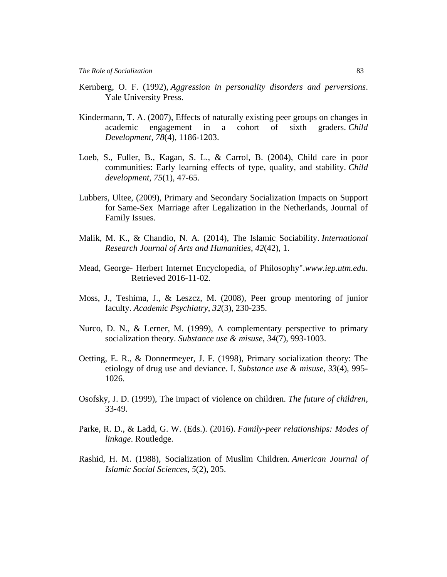- Kernberg, O. F. (1992), *Aggression in personality disorders and perversions*. Yale University Press.
- Kindermann, T. A. (2007), Effects of naturally existing peer groups on changes in academic engagement in a cohort of sixth graders. *Child Development*, *78*(4), 1186-1203.
- Loeb, S., Fuller, B., Kagan, S. L., & Carrol, B. (2004), Child care in poor communities: Early learning effects of type, quality, and stability. *Child development*, *75*(1), 47-65.
- Lubbers, Ultee, (2009), Primary and Secondary Socialization Impacts on Support for Same-Sex Marriage after Legalization in the Netherlands, Journal of Family Issues.
- Malik, M. K., & Chandio, N. A. (2014), The Islamic Sociability. *International Research Journal of Arts and Humanities*, *42*(42), 1.
- Mead, George- [Herbert Internet Encyclopedia, of Philosophy"](http://www.iep.utm.edu/mead/)*.www.iep.utm.edu*. Retrieved 2016-11-02*.*
- Moss, J., Teshima, J., & Leszcz, M. (2008), Peer group mentoring of junior faculty. *Academic Psychiatry*, *32*(3), 230-235.
- Nurco, D. N., & Lerner, M. (1999), A complementary perspective to primary socialization theory. *Substance use & misuse*, *34*(7), 993-1003.
- Oetting, E. R., & Donnermeyer, J. F. (1998), Primary socialization theory: The etiology of drug use and deviance. I. *Substance use & misuse*, *33*(4), 995- 1026.
- Osofsky, J. D. (1999), The impact of violence on children. *The future of children*, 33-49.
- Parke, R. D., & Ladd, G. W. (Eds.). (2016). *Family-peer relationships: Modes of linkage*. Routledge.
- Rashid, H. M. (1988), Socialization of Muslim Children. *American Journal of Islamic Social Sciences*, *5*(2), 205.